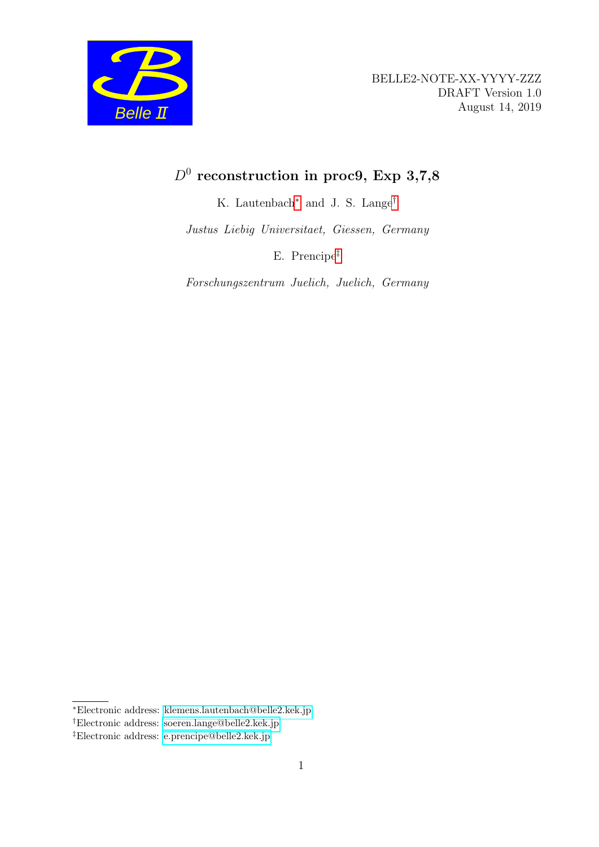

## $D^0$  reconstruction in proc9, Exp 3,7,8

K. Lautenbach[∗](#page-0-0) and J. S. Lange[†](#page-0-1)

Justus Liebig Universitaet, Giessen, Germany

E. Prencipe[‡](#page-0-2)

Forschungszentrum Juelich, Juelich, Germany

<span id="page-0-0"></span><sup>∗</sup>Electronic address: [klemens.lautenbach@belle2.kek.jp](mailto:klemens.lautenbach@belle2.kek.jp)

<span id="page-0-1"></span><sup>†</sup>Electronic address: [soeren.lange@belle2.kek.jp](mailto:soeren.lange@belle2.kek.jp)

<span id="page-0-2"></span><sup>‡</sup>Electronic address: [e.prencipe@belle2.kek.jp](mailto:e.prencipe@belle2.kek.jp)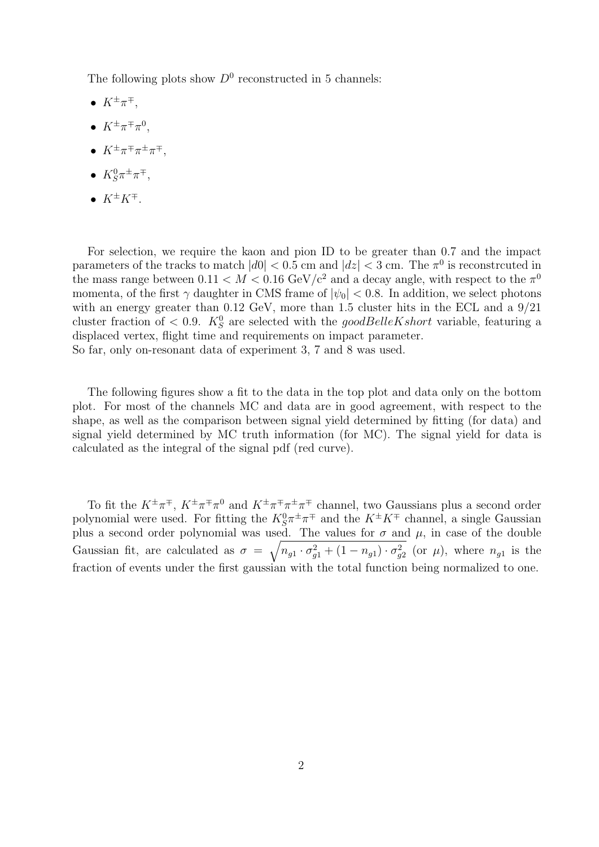The following plots show  $D^0$  reconstructed in 5 channels:

- $\bullet$   $K^{\pm}\pi^{\mp}$ ,
- $K^{\pm}\pi^{\mp}\pi^0$ ,
- $K^{\pm}\pi^{\mp}\pi^{\pm}\pi^{\mp}$ ,
- $K_S^0 \pi^{\pm} \pi^{\mp}$ ,
- $K^{\pm}K^{\mp}$ .

For selection, we require the kaon and pion ID to be greater than 0.7 and the impact parameters of the tracks to match  $|d0| < 0.5$  cm and  $|dz| < 3$  cm. The  $\pi^0$  is reconstrcuted in the mass range between  $0.11 < M < 0.16$  GeV/c<sup>2</sup> and a decay angle, with respect to the  $\pi^0$ momenta, of the first  $\gamma$  daughter in CMS frame of  $|\psi_0|$  < 0.8. In addition, we select photons with an energy greater than 0.12 GeV, more than 1.5 cluster hits in the ECL and a  $9/21$ cluster fraction of  $\langle 0.9, K_S^0 \rangle$  are selected with the good BelleKs hort variable, featuring a displaced vertex, flight time and requirements on impact parameter. So far, only on-resonant data of experiment 3, 7 and 8 was used.

The following figures show a fit to the data in the top plot and data only on the bottom plot. For most of the channels MC and data are in good agreement, with respect to the shape, as well as the comparison between signal yield determined by fitting (for data) and signal yield determined by MC truth information (for MC). The signal yield for data is calculated as the integral of the signal pdf (red curve).

To fit the  $K^{\pm}\pi^{\mp}$ ,  $K^{\pm}\pi^{\mp}\pi^0$  and  $K^{\pm}\pi^{\mp}\pi^{\pm}\pi^{\mp}$  channel, two Gaussians plus a second order polynomial were used. For fitting the  $K_S^0 \pi^{\pm} \pi^{\mp}$  and the  $K^{\pm} K^{\mp}$  channel, a single Gaussian plus a second order polynomial was used. The values for  $\sigma$  and  $\mu$ , in case of the double Gaussian fit, are calculated as  $\sigma = \sqrt{n_{g1} \cdot \sigma_{g1}^2 + (1 - n_{g1}) \cdot \sigma_{g2}^2}$  (or  $\mu$ ), where  $n_{g1}$  is the fraction of events under the first gaussian with the total function being normalized to one.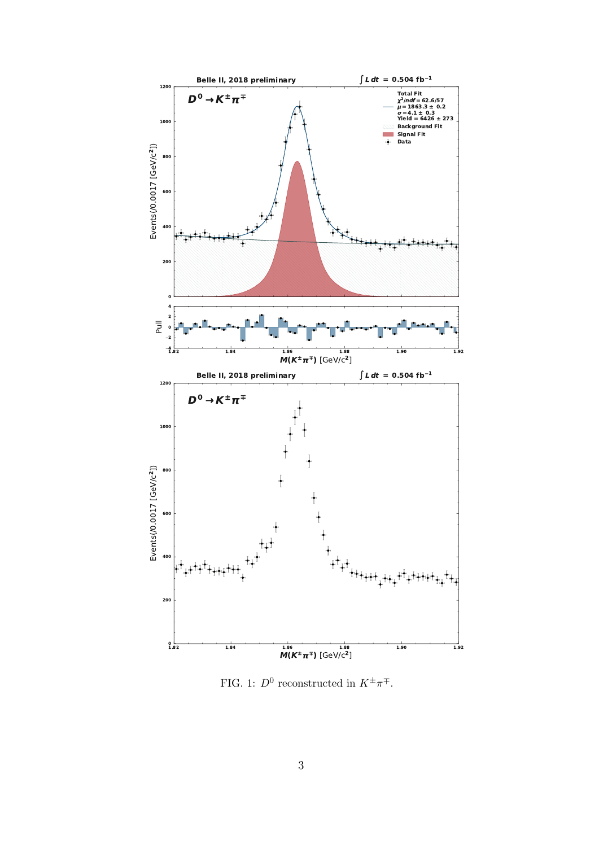

FIG. 1:  $D^0$  reconstructed in  $K^{\pm}\pi^{\mp}$ .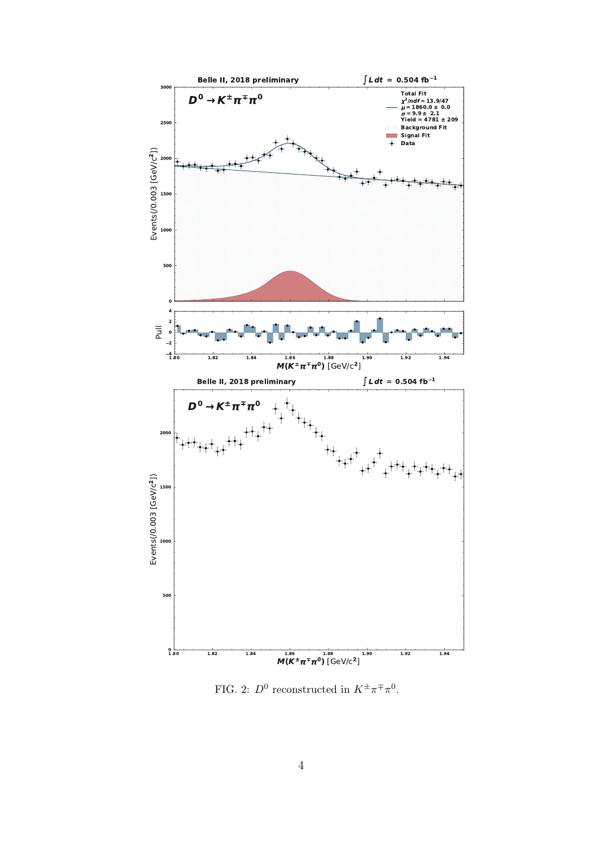

FIG. 2:  $D^0$  reconstructed in  $K^{\pm}\pi^{\mp}\pi^0$ .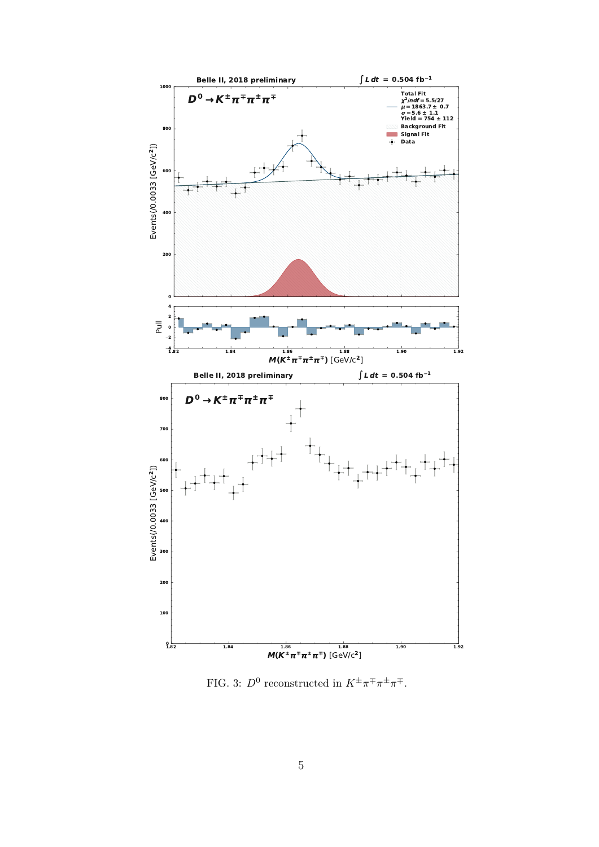

FIG. 3:  $D^0$  reconstructed in  $K^{\pm}\pi^{\mp}\pi^{\pm}\pi^{\mp}$ .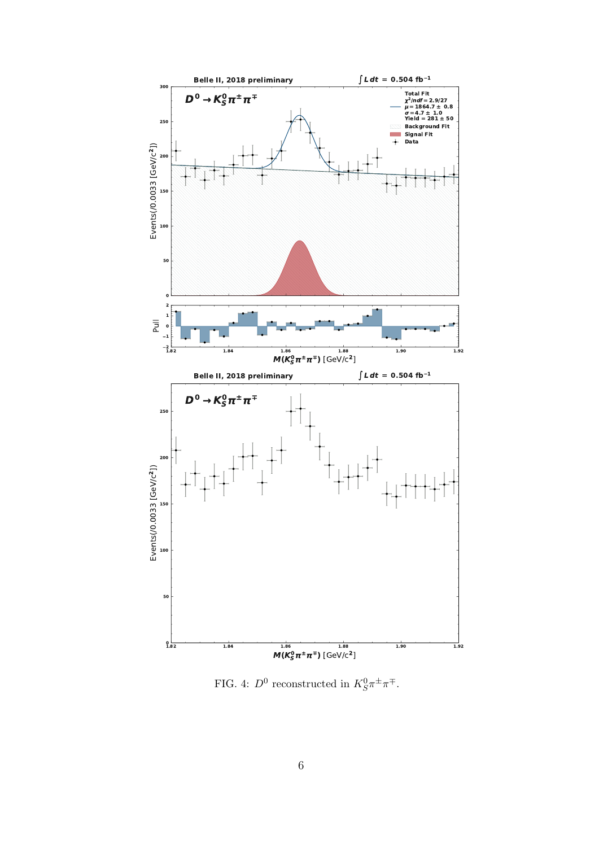

FIG. 4:  $D^0$  reconstructed in  $K_S^0 \pi^{\pm} \pi^{\mp}$ .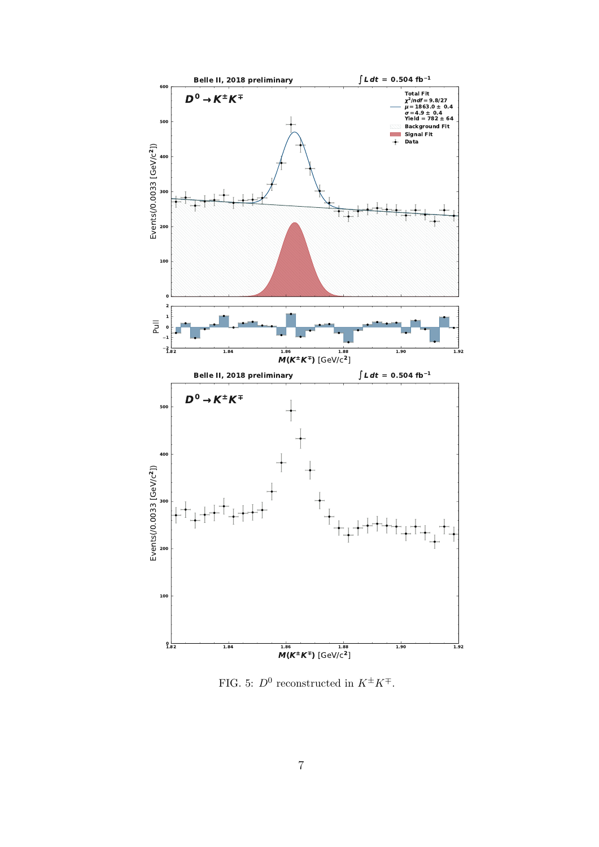

FIG. 5:  $D^0$  reconstructed in  $K^{\pm}K^{\mp}$ .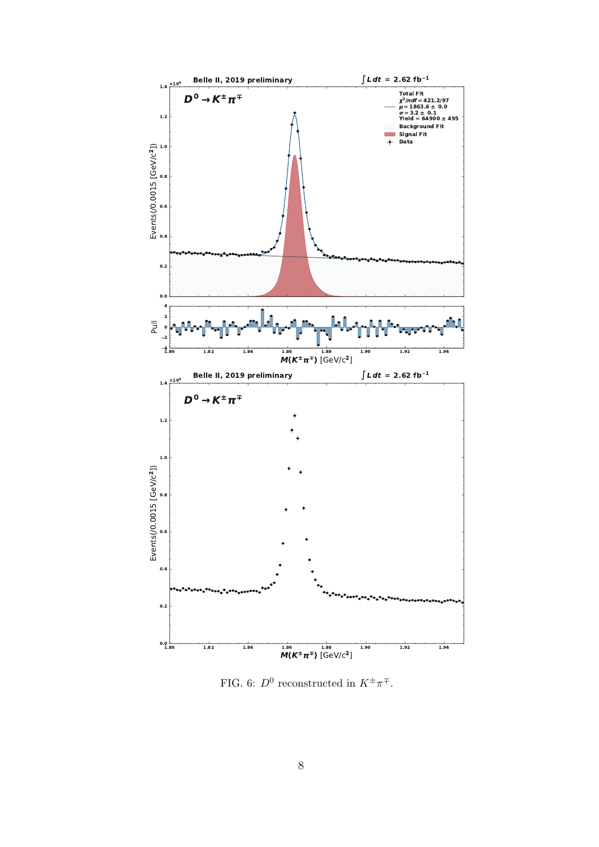

FIG. 6:  $D^0$  reconstructed in  $K^{\pm}\pi^{\mp}$ .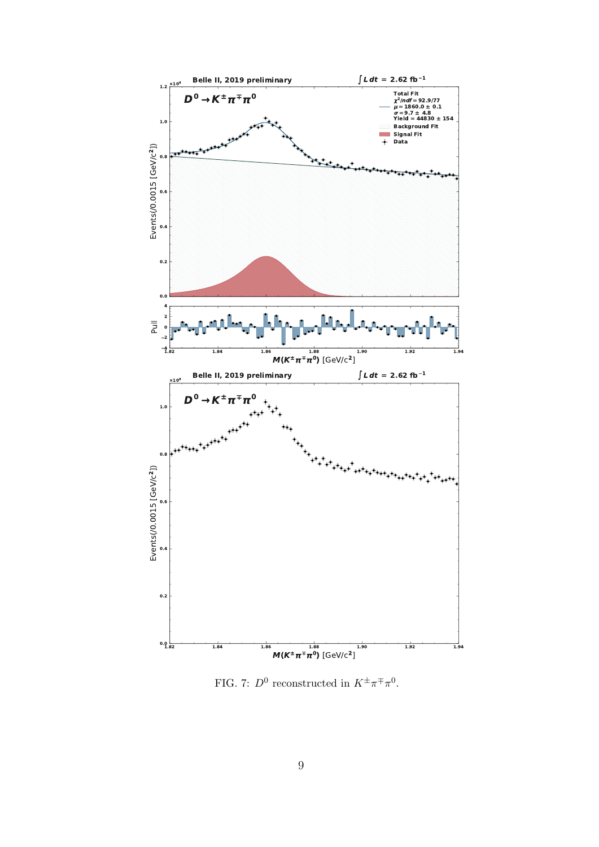

FIG. 7:  $D^0$  reconstructed in  $K^{\pm}\pi^{\mp}\pi^0$ .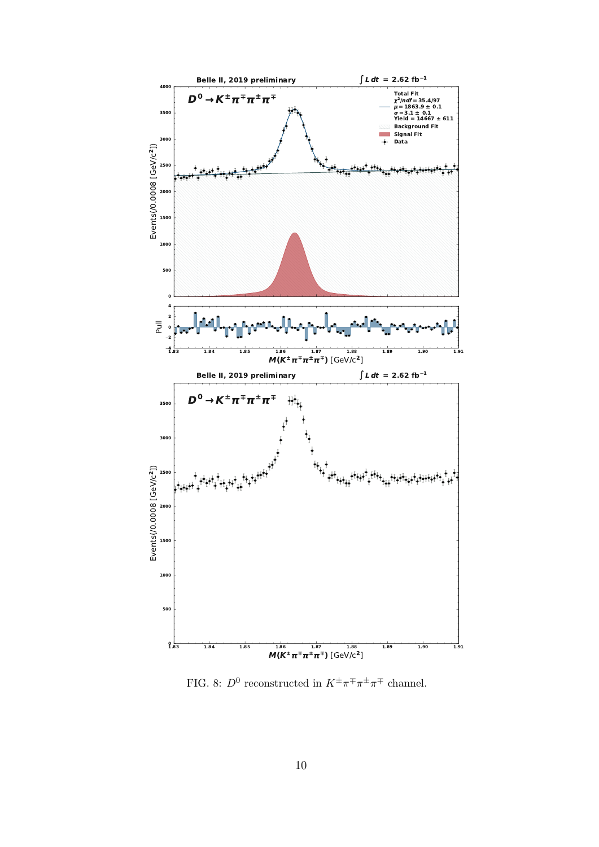

FIG. 8:  $D^0$  reconstructed in  $K^{\pm}\pi^{\mp}\pi^{\pm}\pi^{\mp}$  channel.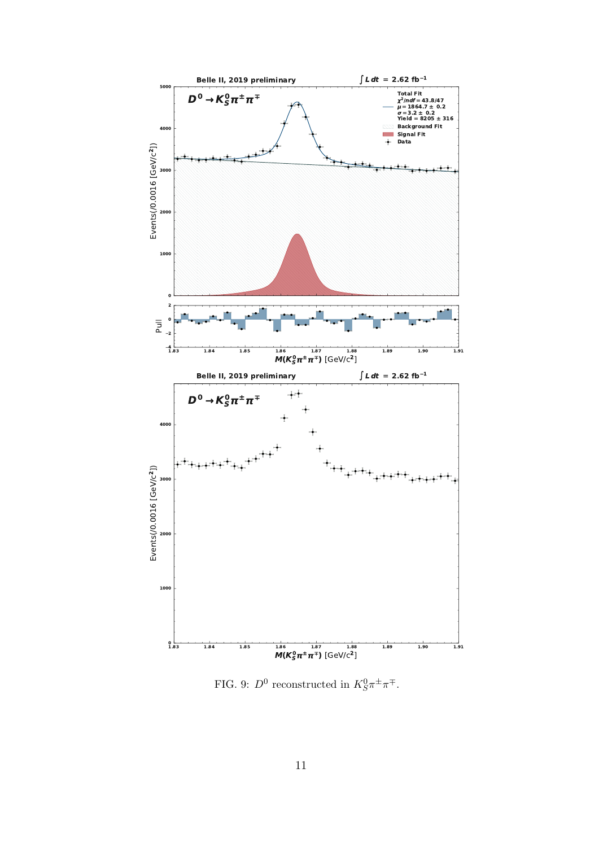

FIG. 9:  $D^0$  reconstructed in  $K_S^0 \pi^{\pm} \pi^{\mp}$ .